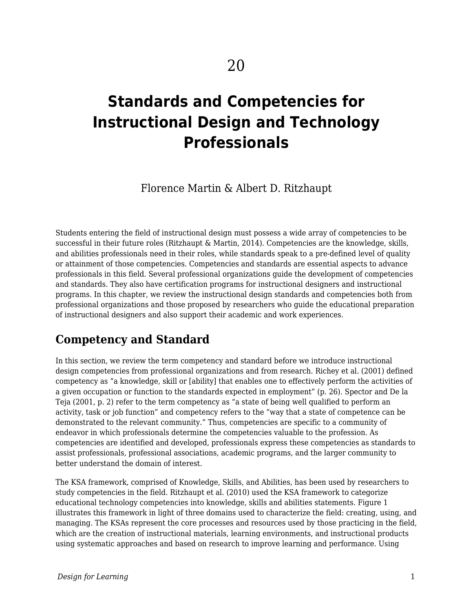# **Standards and Competencies for Instructional Design and Technology Professionals**

## Florence Martin & Albert D. Ritzhaupt

Students entering the field of instructional design must possess a wide array of competencies to be successful in their future roles (Ritzhaupt & Martin, 2014). Competencies are the knowledge, skills, and abilities professionals need in their roles, while standards speak to a pre-defined level of quality or attainment of those competencies. Competencies and standards are essential aspects to advance professionals in this field. Several professional organizations guide the development of competencies and standards. They also have certification programs for instructional designers and instructional programs. In this chapter, we review the instructional design standards and competencies both from professional organizations and those proposed by researchers who guide the educational preparation of instructional designers and also support their academic and work experiences.

## **Competency and Standard**

In this section, we review the term competency and standard before we introduce instructional design competencies from professional organizations and from research. Richey et al. (2001) defined competency as "a knowledge, skill or [ability] that enables one to effectively perform the activities of a given occupation or function to the standards expected in employment" (p. 26). Spector and De la Teja (2001, p. 2) refer to the term competency as "a state of being well qualified to perform an activity, task or job function" and competency refers to the "way that a state of competence can be demonstrated to the relevant community." Thus, competencies are specific to a community of endeavor in which professionals determine the competencies valuable to the profession. As competencies are identified and developed, professionals express these competencies as standards to assist professionals, professional associations, academic programs, and the larger community to better understand the domain of interest.

The KSA framework, comprised of Knowledge, Skills, and Abilities, has been used by researchers to study competencies in the field. Ritzhaupt et al. (2010) used the KSA framework to categorize educational technology competencies into knowledge, skills and abilities statements. Figure 1 illustrates this framework in light of three domains used to characterize the field: creating, using, and managing. The KSAs represent the core processes and resources used by those practicing in the field, which are the creation of instructional materials, learning environments, and instructional products using systematic approaches and based on research to improve learning and performance. Using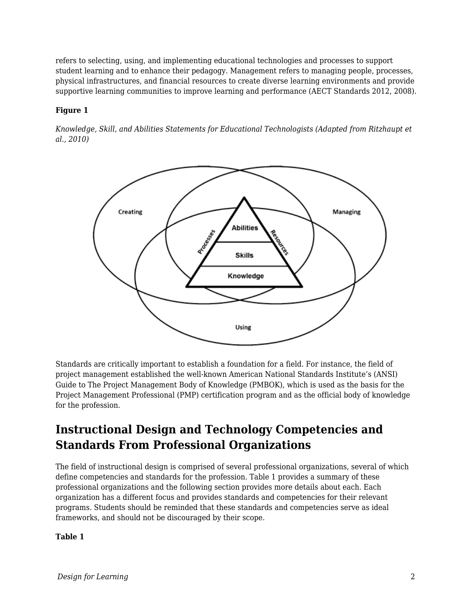refers to selecting, using, and implementing educational technologies and processes to support student learning and to enhance their pedagogy. Management refers to managing people, processes, physical infrastructures, and financial resources to create diverse learning environments and provide supportive learning communities to improve learning and performance (AECT Standards 2012, 2008).

### **Figure 1**

*Knowledge, Skill, and Abilities Statements for Educational Technologists (Adapted from Ritzhaupt et al., 2010)*



Standards are critically important to establish a foundation for a field. For instance, the field of project management established the well-known American National Standards Institute's (ANSI) Guide to The Project Management Body of Knowledge (PMBOK), which is used as the basis for the Project Management Professional (PMP) certification program and as the official body of knowledge for the profession.

## **Instructional Design and Technology Competencies and Standards From Professional Organizations**

The field of instructional design is comprised of several professional organizations, several of which define competencies and standards for the profession. Table 1 provides a summary of these professional organizations and the following section provides more details about each. Each organization has a different focus and provides standards and competencies for their relevant programs. Students should be reminded that these standards and competencies serve as ideal frameworks, and should not be discouraged by their scope.

#### **Table 1**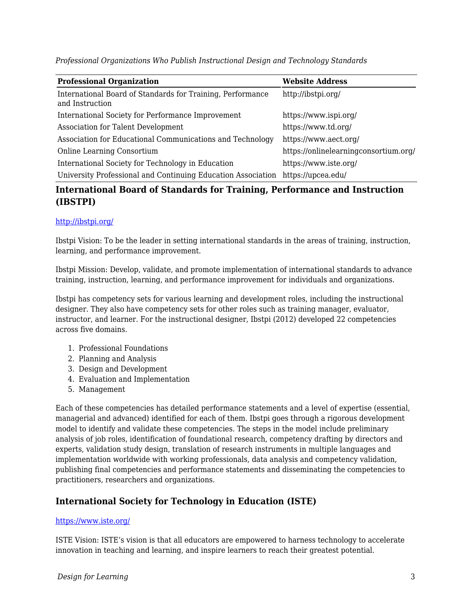**Professional Organization Website Address** International Board of Standards for Training, Performance and Instruction http://ibstpi.org/ International Society for Performance Improvement https://www.ispi.org/ Association for Talent Development https://www.td.org/ Association for Educational Communications and Technology https://www.aect.org/ Online Learning Consortium https://onlinelearningconsortium.org/ International Society for Technology in Education https://www.iste.org/ University Professional and Continuing Education Association https://upcea.edu/

*Professional Organizations Who Publish Instructional Design and Technology Standards*

## **International Board of Standards for Training, Performance and Instruction (IBSTPI)**

#### <http://ibstpi.org/>

Ibstpi Vision: To be the leader in setting international standards in the areas of training, instruction, learning, and performance improvement.

Ibstpi Mission: Develop, validate, and promote implementation of international standards to advance training, instruction, learning, and performance improvement for individuals and organizations.

Ibstpi has competency sets for various learning and development roles, including the instructional designer. They also have competency sets for other roles such as training manager, evaluator, instructor, and learner. For the instructional designer, Ibstpi (2012) developed 22 competencies across five domains.

- 1. Professional Foundations
- 2. Planning and Analysis
- 3. Design and Development
- 4. Evaluation and Implementation
- 5. Management

Each of these competencies has detailed performance statements and a level of expertise (essential, managerial and advanced) identified for each of them. Ibstpi goes through a rigorous development model to identify and validate these competencies. The steps in the model include preliminary analysis of job roles, identification of foundational research, competency drafting by directors and experts, validation study design, translation of research instruments in multiple languages and implementation worldwide with working professionals, data analysis and competency validation, publishing final competencies and performance statements and disseminating the competencies to practitioners, researchers and organizations.

### **International Society for Technology in Education (ISTE)**

#### <https://www.iste.org/>

ISTE Vision: ISTE's vision is that all educators are empowered to harness technology to accelerate innovation in teaching and learning, and inspire learners to reach their greatest potential.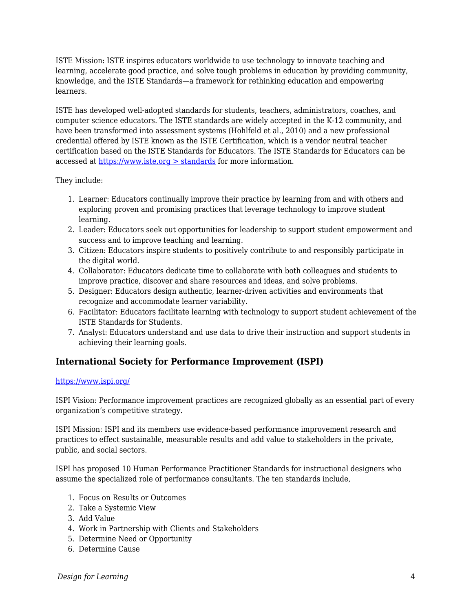ISTE Mission: ISTE inspires educators worldwide to use technology to innovate teaching and learning, accelerate good practice, and solve tough problems in education by providing community, knowledge, and the ISTE Standards—a framework for rethinking education and empowering learners.

ISTE has developed well-adopted standards for students, teachers, administrators, coaches, and computer science educators. The ISTE standards are widely accepted in the K-12 community, and have been transformed into assessment systems (Hohlfeld et al., 2010) and a new professional credential offered by ISTE known as the ISTE Certification, which is a vendor neutral teacher certification based on the ISTE Standards for Educators. The ISTE Standards for Educators can be accessed at [https://www.iste.org > standards](https://www.iste.org/standards) for more information.

They include:

- 1. Learner: Educators continually improve their practice by learning from and with others and exploring proven and promising practices that leverage technology to improve student learning.
- 2. Leader: Educators seek out opportunities for leadership to support student empowerment and success and to improve teaching and learning.
- 3. Citizen: Educators inspire students to positively contribute to and responsibly participate in the digital world.
- 4. Collaborator: Educators dedicate time to collaborate with both colleagues and students to improve practice, discover and share resources and ideas, and solve problems.
- 5. Designer: Educators design authentic, learner-driven activities and environments that recognize and accommodate learner variability.
- 6. Facilitator: Educators facilitate learning with technology to support student achievement of the ISTE Standards for Students.
- 7. Analyst: Educators understand and use data to drive their instruction and support students in achieving their learning goals.

## **International Society for Performance Improvement (ISPI)**

#### <https://www.ispi.org/>

ISPI Vision: Performance improvement practices are recognized globally as an essential part of every organization's competitive strategy.

ISPI Mission: ISPI and its members use evidence-based performance improvement research and practices to effect sustainable, measurable results and add value to stakeholders in the private, public, and social sectors.

ISPI has proposed 10 Human Performance Practitioner Standards for instructional designers who assume the specialized role of performance consultants. The ten standards include,

- 1. Focus on Results or Outcomes
- 2. Take a Systemic View
- 3. Add Value
- 4. Work in Partnership with Clients and Stakeholders
- 5. Determine Need or Opportunity
- 6. Determine Cause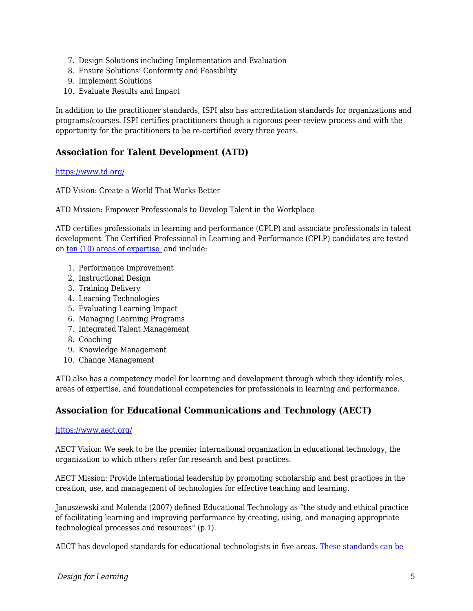- 7. Design Solutions including Implementation and Evaluation
- 8. Ensure Solutions' Conformity and Feasibility
- 9. Implement Solutions
- 10. Evaluate Results and Impact

In addition to the practitioner standards, ISPI also has accreditation standards for organizations and programs/courses. ISPI certifies practitioners though a rigorous peer-review process and with the opportunity for the practitioners to be re-certified every three years.

### **Association for Talent Development (ATD)**

#### <https://www.td.org/>

ATD Vision: Create a World That Works Better

ATD Mission: Empower Professionals to Develop Talent in the Workplace

ATD certifies professionals in learning and performance (CPLP) and associate professionals in talent development. The Certified Professional in Learning and Performance (CPLP) candidates are tested on [ten \(10\) areas of expertise](https://www.td.org/certification/atd-competency-mode) and include:

- 1. Performance Improvement
- 2. Instructional Design
- 3. Training Delivery
- 4. Learning Technologies
- 5. Evaluating Learning Impact
- 6. Managing Learning Programs
- 7. Integrated Talent Management
- 8. Coaching
- 9. Knowledge Management
- 10. Change Management

ATD also has a competency model for learning and development through which they identify roles, areas of expertise, and foundational competencies for professionals in learning and performance.

### **Association for Educational Communications and Technology (AECT)**

#### <https://www.aect.org/>

AECT Vision: We seek to be the premier international organization in educational technology, the organization to which others refer for research and best practices.

AECT Mission: Provide international leadership by promoting scholarship and best practices in the creation, use, and management of technologies for effective teaching and learning.

Januszewski and Molenda (2007) defined Educational Technology as "the study and ethical practice of facilitating learning and improving performance by creating, using, and managing appropriate technological processes and resources" (p.1).

AECT has developed standards for educational technologists in five areas. [These standards can be](https://www.aect.org/docs/AECTstandards2012.pdf)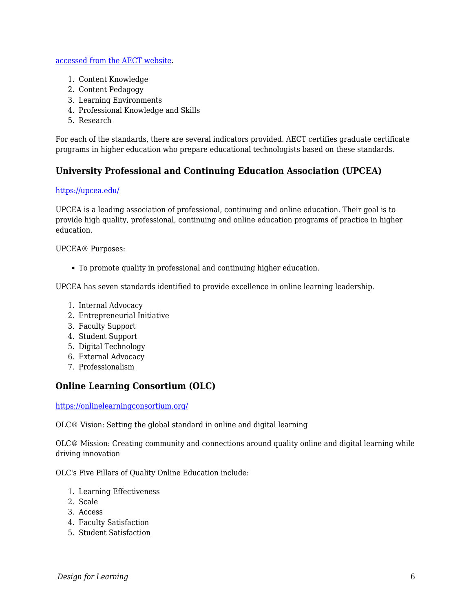#### [accessed from the AECT website.](https://www.aect.org/docs/AECTstandards2012.pdf)

- 1. Content Knowledge
- 2. Content Pedagogy
- 3. Learning Environments
- 4. Professional Knowledge and Skills
- 5. Research

For each of the standards, there are several indicators provided. AECT certifies graduate certificate programs in higher education who prepare educational technologists based on these standards.

## **University Professional and Continuing Education Association (UPCEA)**

#### <https://upcea.edu/>

UPCEA is a leading association of professional, continuing and online education. Their goal is to provide high quality, professional, continuing and online education programs of practice in higher education.

UPCEA® Purposes:

To promote quality in professional and continuing higher education.

UPCEA has seven standards identified to provide excellence in online learning leadership.

- 1. Internal Advocacy
- 2. Entrepreneurial Initiative
- 3. Faculty Support
- 4. Student Support
- 5. Digital Technology
- 6. External Advocacy
- 7. Professionalism

### **Online Learning Consortium (OLC)**

<https://onlinelearningconsortium.org/>

OLC® Vision: Setting the global standard in online and digital learning

OLC® Mission: Creating community and connections around quality online and digital learning while driving innovation

OLC's Five Pillars of Quality Online Education include:

- 1. Learning Effectiveness
- 2. Scale
- 3. Access
- 4. Faculty Satisfaction
- 5. Student Satisfaction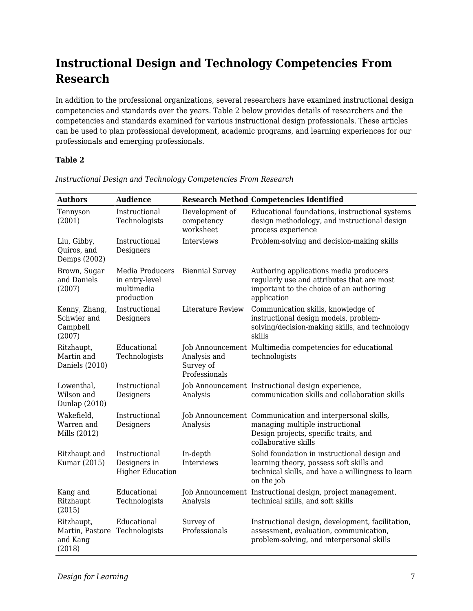## **Instructional Design and Technology Competencies From Research**

In addition to the professional organizations, several researchers have examined instructional design competencies and standards over the years. Table 2 below provides details of researchers and the competencies and standards examined for various instructional design professionals. These articles can be used to plan professional development, academic programs, and learning experiences for our professionals and emerging professionals.

#### **Table 2**

| <b>Authors</b>                                      | <b>Audience</b>                                               |                                            | <b>Research Method Competencies Identified</b>                                                                                                               |
|-----------------------------------------------------|---------------------------------------------------------------|--------------------------------------------|--------------------------------------------------------------------------------------------------------------------------------------------------------------|
| Tennyson<br>(2001)                                  | Instructional<br>Technologists                                | Development of<br>competency<br>worksheet  | Educational foundations, instructional systems<br>design methodology, and instructional design<br>process experience                                         |
| Liu, Gibby,<br>Quiros, and<br>Demps (2002)          | Instructional<br>Designers                                    | Interviews                                 | Problem-solving and decision-making skills                                                                                                                   |
| Brown, Sugar<br>and Daniels<br>(2007)               | Media Producers<br>in entry-level<br>multimedia<br>production | <b>Biennial Survey</b>                     | Authoring applications media producers<br>regularly use and attributes that are most<br>important to the choice of an authoring<br>application               |
| Kenny, Zhang,<br>Schwier and<br>Campbell<br>(2007)  | Instructional<br>Designers                                    | Literature Review                          | Communication skills, knowledge of<br>instructional design models, problem-<br>solving/decision-making skills, and technology<br>skills                      |
| Ritzhaupt,<br>Martin and<br>Daniels (2010)          | Educational<br>Technologists                                  | Analysis and<br>Survey of<br>Professionals | Job Announcement Multimedia competencies for educational<br>technologists                                                                                    |
| Lowenthal,<br>Wilson and<br>Dunlap (2010)           | Instructional<br>Designers                                    | Analysis                                   | Job Announcement Instructional design experience,<br>communication skills and collaboration skills                                                           |
| Wakefield,<br>Warren and<br>Mills (2012)            | Instructional<br>Designers                                    | Analysis                                   | Job Announcement Communication and interpersonal skills,<br>managing multiple instructional<br>Design projects, specific traits, and<br>collaborative skills |
| Ritzhaupt and<br>Kumar (2015)                       | Instructional<br>Designers in<br><b>Higher Education</b>      | In-depth<br>Interviews                     | Solid foundation in instructional design and<br>learning theory, possess soft skills and<br>technical skills, and have a willingness to learn<br>on the job  |
| Kang and<br>Ritzhaupt<br>(2015)                     | Educational<br>Technologists                                  | Analysis                                   | Job Announcement Instructional design, project management,<br>technical skills, and soft skills                                                              |
| Ritzhaupt,<br>Martin, Pastore<br>and Kang<br>(2018) | Educational<br>Technologists                                  | Survey of<br>Professionals                 | Instructional design, development, facilitation,<br>assessment, evaluation, communication,<br>problem-solving, and interpersonal skills                      |

*Instructional Design and Technology Competencies From Research*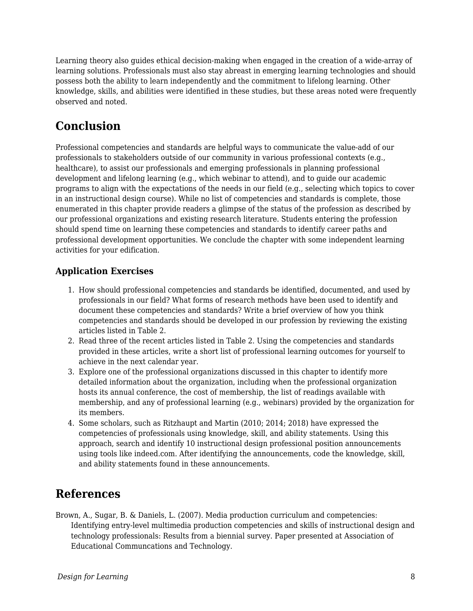Learning theory also guides ethical decision-making when engaged in the creation of a wide-array of learning solutions. Professionals must also stay abreast in emerging learning technologies and should possess both the ability to learn independently and the commitment to lifelong learning. Other knowledge, skills, and abilities were identified in these studies, but these areas noted were frequently observed and noted.

## **Conclusion**

Professional competencies and standards are helpful ways to communicate the value-add of our professionals to stakeholders outside of our community in various professional contexts (e.g., healthcare), to assist our professionals and emerging professionals in planning professional development and lifelong learning (e.g., which webinar to attend), and to guide our academic programs to align with the expectations of the needs in our field (e.g., selecting which topics to cover in an instructional design course). While no list of competencies and standards is complete, those enumerated in this chapter provide readers a glimpse of the status of the profession as described by our professional organizations and existing research literature. Students entering the profession should spend time on learning these competencies and standards to identify career paths and professional development opportunities. We conclude the chapter with some independent learning activities for your edification.

## **Application Exercises**

- 1. How should professional competencies and standards be identified, documented, and used by professionals in our field? What forms of research methods have been used to identify and document these competencies and standards? Write a brief overview of how you think competencies and standards should be developed in our profession by reviewing the existing articles listed in Table 2.
- 2. Read three of the recent articles listed in Table 2. Using the competencies and standards provided in these articles, write a short list of professional learning outcomes for yourself to achieve in the next calendar year.
- 3. Explore one of the professional organizations discussed in this chapter to identify more detailed information about the organization, including when the professional organization hosts its annual conference, the cost of membership, the list of readings available with membership, and any of professional learning (e.g., webinars) provided by the organization for its members.
- 4. Some scholars, such as Ritzhaupt and Martin (2010; 2014; 2018) have expressed the competencies of professionals using knowledge, skill, and ability statements. Using this approach, search and identify 10 instructional design professional position announcements using tools like indeed.com. After identifying the announcements, code the knowledge, skill, and ability statements found in these announcements.

## **References**

Brown, A., Sugar, B. & Daniels, L. (2007). Media production curriculum and competencies: Identifying entry-level multimedia production competencies and skills of instructional design and technology professionals: Results from a biennial survey. Paper presented at Association of Educational Communcations and Technology.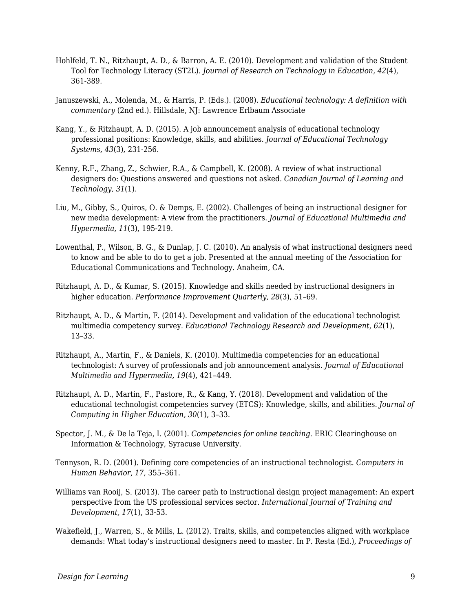- Hohlfeld, T. N., Ritzhaupt, A. D., & Barron, A. E. (2010). Development and validation of the Student Tool for Technology Literacy (ST2L). *Journal of Research on Technology in Education, 42*(4), 361-389.
- Januszewski, A., Molenda, M., & Harris, P. (Eds.). (2008). *Educational technology: A definition with commentary* (2nd ed.). Hillsdale, NJ: Lawrence Erlbaum Associate
- Kang, Y., & Ritzhaupt, A. D. (2015). A job announcement analysis of educational technology professional positions: Knowledge, skills, and abilities. *Journal of Educational Technology Systems, 43*(3), 231-256.
- Kenny, R.F., Zhang, Z., Schwier, R.A., & Campbell, K. (2008). A review of what instructional designers do: Questions answered and questions not asked. *Canadian Journal of Learning and Technology, 31*(1).
- Liu, M., Gibby, S., Quiros, O. & Demps, E. (2002). Challenges of being an instructional designer for new media development: A view from the practitioners. *Journal of Educational Multimedia and Hypermedia, 11*(3), 195-219.
- Lowenthal, P., Wilson, B. G., & Dunlap, J. C. (2010). An analysis of what instructional designers need to know and be able to do to get a job. Presented at the annual meeting of the Association for Educational Communications and Technology. Anaheim, CA.
- Ritzhaupt, A. D., & Kumar, S. (2015). Knowledge and skills needed by instructional designers in higher education. *Performance Improvement Quarterly, 28*(3), 51–69.
- Ritzhaupt, A. D., & Martin, F. (2014). Development and validation of the educational technologist multimedia competency survey. *Educational Technology Research and Development, 62*(1), 13–33.
- Ritzhaupt, A., Martin, F., & Daniels, K. (2010). Multimedia competencies for an educational technologist: A survey of professionals and job announcement analysis. *Journal of Educational Multimedia and Hypermedia, 19*(4), 421–449.
- Ritzhaupt, A. D., Martin, F., Pastore, R., & Kang, Y. (2018). Development and validation of the educational technologist competencies survey (ETCS): Knowledge, skills, and abilities. *Journal of Computing in Higher Education, 30*(1), 3–33.
- Spector, J. M., & De la Teja, I. (2001). *Competencies for online teaching*. ERIC Clearinghouse on Information & Technology, Syracuse University.
- Tennyson, R. D. (2001). Defining core competencies of an instructional technologist. *Computers in Human Behavior, 17*, 355–361.
- Williams van Rooij, S. (2013). The career path to instructional design project management: An expert perspective from the US professional services sector. *International Journal of Training and Development, 17*(1), 33-53.
- Wakefield, J., Warren, S., & Mills, L. (2012). Traits, skills, and competencies aligned with workplace demands: What today's instructional designers need to master. In P. Resta (Ed.), *Proceedings of*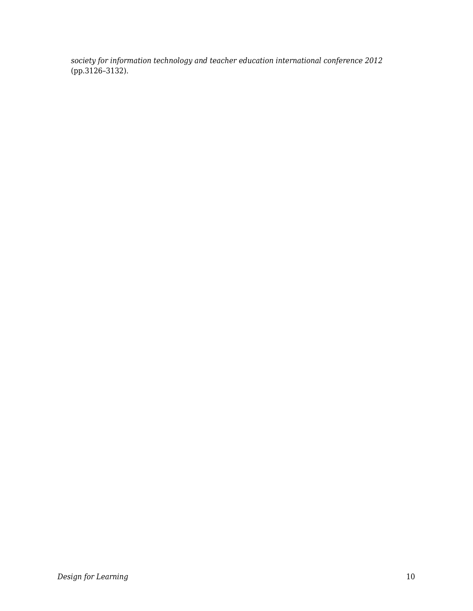*society for information technology and teacher education international conference 2012* (pp.3126–3132).